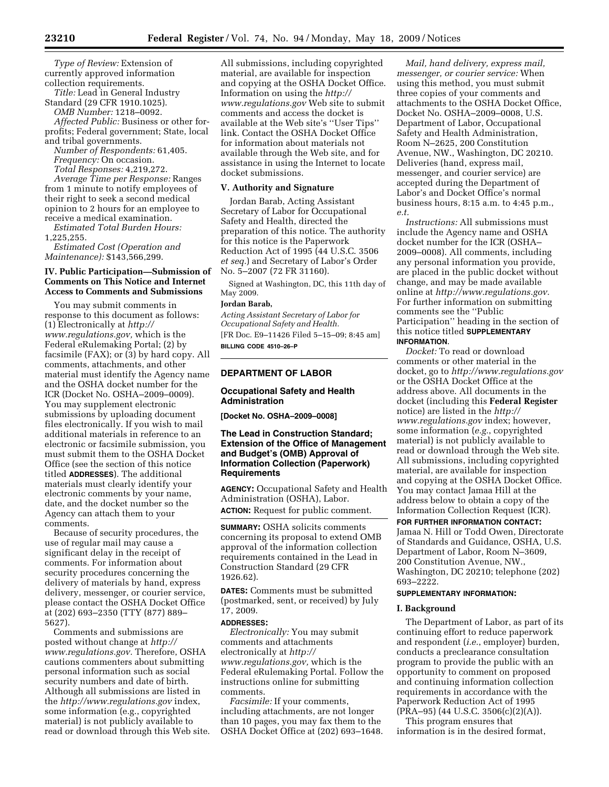*Type of Review:* Extension of currently approved information collection requirements.

*Title:* Lead in General Industry Standard (29 CFR 1910.1025).

*OMB Number:* 1218–0092.

*Affected Public:* Business or other forprofits; Federal government; State, local and tribal governments.

*Number of Respondents:* 61,405. *Frequency:* On occasion. *Total Responses:* 4,219,272.

*Average Time per Response:* Ranges from 1 minute to notify employees of their right to seek a second medical opinion to 2 hours for an employee to receive a medical examination.

*Estimated Total Burden Hours:*  1,225,255.

*Estimated Cost (Operation and Maintenance):* \$143,566,299.

### **IV. Public Participation—Submission of Comments on This Notice and Internet Access to Comments and Submissions**

You may submit comments in response to this document as follows: (1) Electronically at *http:// www.regulations.gov,* which is the Federal eRulemaking Portal; (2) by facsimile (FAX); or (3) by hard copy. All comments, attachments, and other material must identify the Agency name and the OSHA docket number for the ICR (Docket No. OSHA–2009–0009). You may supplement electronic submissions by uploading document files electronically. If you wish to mail additional materials in reference to an electronic or facsimile submission, you must submit them to the OSHA Docket Office (see the section of this notice titled **ADDRESSES**). The additional materials must clearly identify your electronic comments by your name, date, and the docket number so the Agency can attach them to your comments.

Because of security procedures, the use of regular mail may cause a significant delay in the receipt of comments. For information about security procedures concerning the delivery of materials by hand, express delivery, messenger, or courier service, please contact the OSHA Docket Office at (202) 693–2350 (TTY (877) 889– 5627).

Comments and submissions are posted without change at *http:// www.regulations.gov.* Therefore, OSHA cautions commenters about submitting personal information such as social security numbers and date of birth. Although all submissions are listed in the *http://www.regulations.gov* index, some information (e.g., copyrighted material) is not publicly available to read or download through this Web site.

All submissions, including copyrighted material, are available for inspection and copying at the OSHA Docket Office. Information on using the *http:// www.regulations.gov* Web site to submit comments and access the docket is available at the Web site's ''User Tips'' link. Contact the OSHA Docket Office for information about materials not available through the Web site, and for assistance in using the Internet to locate docket submissions.

#### **V. Authority and Signature**

Jordan Barab, Acting Assistant Secretary of Labor for Occupational Safety and Health, directed the preparation of this notice. The authority for this notice is the Paperwork Reduction Act of 1995 (44 U.S.C. 3506 *et seq.*) and Secretary of Labor's Order No. 5–2007 (72 FR 31160).

Signed at Washington, DC, this 11th day of May 2009.

### **Jordan Barab,**

*Acting Assistant Secretary of Labor for Occupational Safety and Health.*  [FR Doc. E9–11426 Filed 5–15–09; 8:45 am] **BILLING CODE 4510–26–P** 

# **DEPARTMENT OF LABOR**

### **Occupational Safety and Health Administration**

**[Docket No. OSHA–2009–0008]** 

## **The Lead in Construction Standard; Extension of the Office of Management and Budget's (OMB) Approval of Information Collection (Paperwork) Requirements**

**AGENCY:** Occupational Safety and Health Administration (OSHA), Labor. **ACTION:** Request for public comment.

**SUMMARY:** OSHA solicits comments concerning its proposal to extend OMB approval of the information collection requirements contained in the Lead in Construction Standard (29 CFR 1926.62).

**DATES:** Comments must be submitted (postmarked, sent, or received) by July 17, 2009.

#### **ADDRESSES:**

*Electronically:* You may submit comments and attachments electronically at *http:// www.regulations.gov,* which is the Federal eRulemaking Portal. Follow the instructions online for submitting comments.

*Facsimile:* If your comments, including attachments, are not longer than 10 pages, you may fax them to the OSHA Docket Office at (202) 693–1648.

*Mail, hand delivery, express mail, messenger, or courier service:* When using this method, you must submit three copies of your comments and attachments to the OSHA Docket Office, Docket No. OSHA–2009–0008, U.S. Department of Labor, Occupational Safety and Health Administration, Room N–2625, 200 Constitution Avenue, NW., Washington, DC 20210. Deliveries (hand, express mail, messenger, and courier service) are accepted during the Department of Labor's and Docket Office's normal business hours, 8:15 a.m. to 4:45 p.m., *e.t.* 

*Instructions:* All submissions must include the Agency name and OSHA docket number for the ICR (OSHA– 2009–0008). All comments, including any personal information you provide, are placed in the public docket without change, and may be made available online at *http://www.regulations.gov.*  For further information on submitting comments see the ''Public Participation'' heading in the section of this notice titled **SUPPLEMENTARY INFORMATION**.

*Docket:* To read or download comments or other material in the docket, go to *http://www.regulations.gov*  or the OSHA Docket Office at the address above. All documents in the docket (including this **Federal Register**  notice) are listed in the *http:// www.regulations.gov* index; however, some information (*e.g.*, copyrighted material) is not publicly available to read or download through the Web site. All submissions, including copyrighted material, are available for inspection and copying at the OSHA Docket Office. You may contact Jamaa Hill at the address below to obtain a copy of the Information Collection Request (ICR).

# **FOR FURTHER INFORMATION CONTACT:**  Jamaa N. Hill or Todd Owen, Directorate of Standards and Guidance, OSHA, U.S. Department of Labor, Room N–3609, 200 Constitution Avenue, NW.,

Washington, DC 20210; telephone (202) 693–2222.

# **SUPPLEMENTARY INFORMATION:**

### **I. Background**

The Department of Labor, as part of its continuing effort to reduce paperwork and respondent (*i.e.*, employer) burden, conducts a preclearance consultation program to provide the public with an opportunity to comment on proposed and continuing information collection requirements in accordance with the Paperwork Reduction Act of 1995 (PRA–95) (44 U.S.C. 3506(c)(2)(A)).

This program ensures that information is in the desired format,